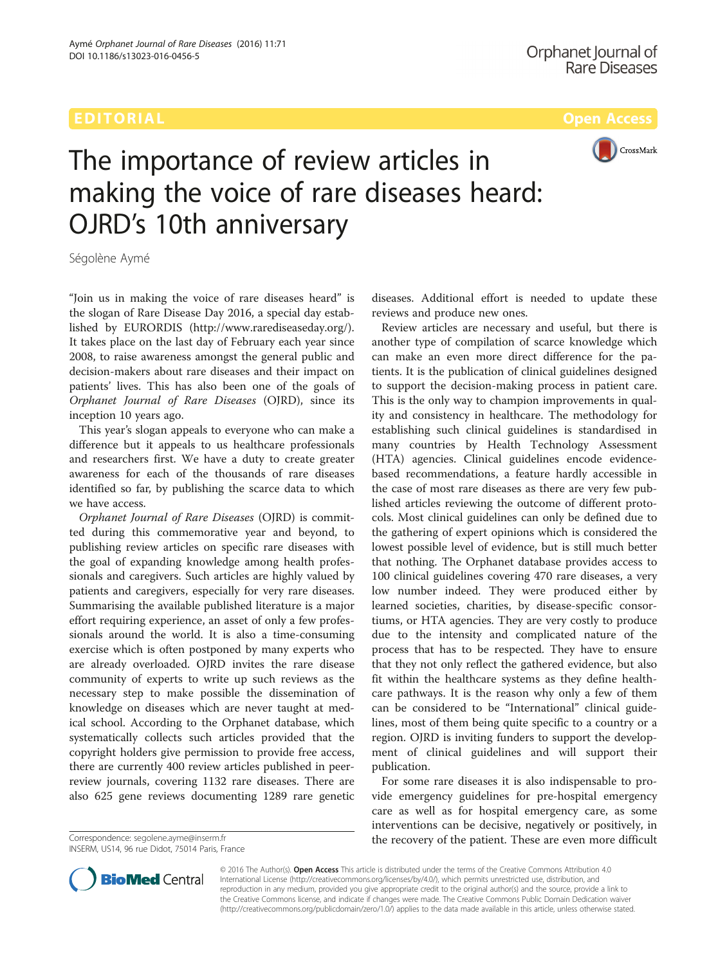

# The importance of review articles in making the voice of rare diseases heard: OJRD's 10th anniversary

Ségolène Aymé

"Join us in making the voice of rare diseases heard" is the slogan of Rare Disease Day 2016, a special day established by EURORDIS [\(http://www.rarediseaseday.org/](http://www.rarediseaseday.org/)). It takes place on the last day of February each year since 2008, to raise awareness amongst the general public and decision-makers about rare diseases and their impact on patients' lives. This has also been one of the goals of Orphanet Journal of Rare Diseases (OJRD), since its inception 10 years ago.

This year's slogan appeals to everyone who can make a difference but it appeals to us healthcare professionals and researchers first. We have a duty to create greater awareness for each of the thousands of rare diseases identified so far, by publishing the scarce data to which we have access.

Orphanet Journal of Rare Diseases (OJRD) is committed during this commemorative year and beyond, to publishing review articles on specific rare diseases with the goal of expanding knowledge among health professionals and caregivers. Such articles are highly valued by patients and caregivers, especially for very rare diseases. Summarising the available published literature is a major effort requiring experience, an asset of only a few professionals around the world. It is also a time-consuming exercise which is often postponed by many experts who are already overloaded. OJRD invites the rare disease community of experts to write up such reviews as the necessary step to make possible the dissemination of knowledge on diseases which are never taught at medical school. According to the Orphanet database, which systematically collects such articles provided that the copyright holders give permission to provide free access, there are currently 400 review articles published in peerreview journals, covering 1132 rare diseases. There are also 625 gene reviews documenting 1289 rare genetic

INSERM, US14, 96 rue Didot, 75014 Paris, France

diseases. Additional effort is needed to update these reviews and produce new ones.

Review articles are necessary and useful, but there is another type of compilation of scarce knowledge which can make an even more direct difference for the patients. It is the publication of clinical guidelines designed to support the decision-making process in patient care. This is the only way to champion improvements in quality and consistency in healthcare. The methodology for establishing such clinical guidelines is standardised in many countries by Health Technology Assessment (HTA) agencies. Clinical guidelines encode evidencebased recommendations, a feature hardly accessible in the case of most rare diseases as there are very few published articles reviewing the outcome of different protocols. Most clinical guidelines can only be defined due to the gathering of expert opinions which is considered the lowest possible level of evidence, but is still much better that nothing. The Orphanet database provides access to 100 clinical guidelines covering 470 rare diseases, a very low number indeed. They were produced either by learned societies, charities, by disease-specific consortiums, or HTA agencies. They are very costly to produce due to the intensity and complicated nature of the process that has to be respected. They have to ensure that they not only reflect the gathered evidence, but also fit within the healthcare systems as they define healthcare pathways. It is the reason why only a few of them can be considered to be "International" clinical guidelines, most of them being quite specific to a country or a region. OJRD is inviting funders to support the development of clinical guidelines and will support their publication.

For some rare diseases it is also indispensable to provide emergency guidelines for pre-hospital emergency care as well as for hospital emergency care, as some interventions can be decisive, negatively or positively, in Correspondence: [segolene.ayme@inserm.fr](mailto:segolene.ayme@inserm.fr) **Exercise 2018 Correspondence: segolene.ayme@inserm.fr Correspondence: segolene.ayme@inserm.fr** 



© 2016 The Author(s). Open Access This article is distributed under the terms of the Creative Commons Attribution 4.0 International License [\(http://creativecommons.org/licenses/by/4.0/](http://creativecommons.org/licenses/by/4.0/)), which permits unrestricted use, distribution, and reproduction in any medium, provided you give appropriate credit to the original author(s) and the source, provide a link to the Creative Commons license, and indicate if changes were made. The Creative Commons Public Domain Dedication waiver [\(http://creativecommons.org/publicdomain/zero/1.0/](http://creativecommons.org/publicdomain/zero/1.0/)) applies to the data made available in this article, unless otherwise stated.